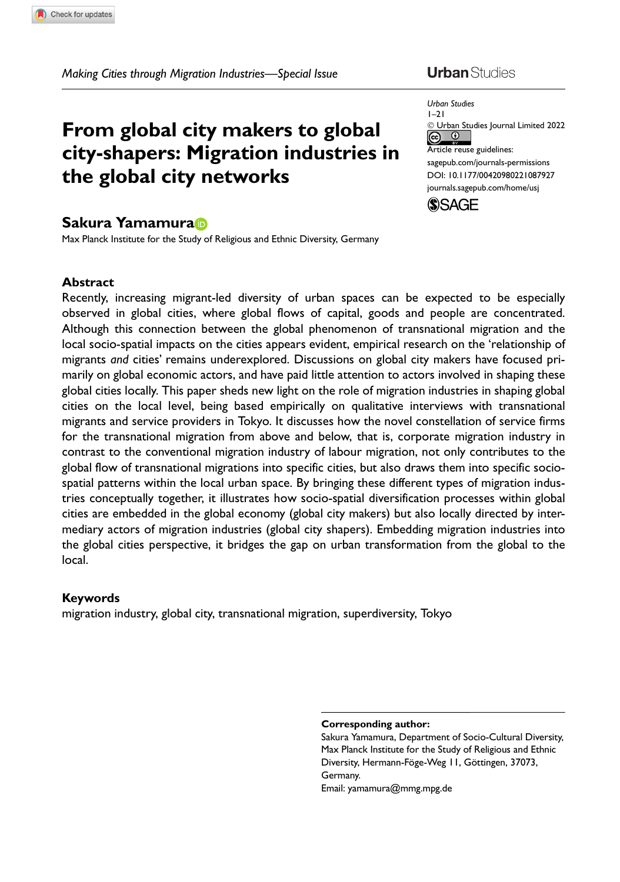# From global city makers to global city-shapers: Migration industries in the global city networks

### Sakura Yamamura

Max Planck Institute for the Study of Religious and Ethnic Diversity, Germany

#### **Abstract**

Recently, increasing migrant-led diversity of urban spaces can be expected to be especially observed in global cities, where global flows of capital, goods and people are concentrated. Although this connection between the global phenomenon of transnational migration and the local socio-spatial impacts on the cities appears evident, empirical research on the 'relationship of migrants and cities' remains underexplored. Discussions on global city makers have focused primarily on global economic actors, and have paid little attention to actors involved in shaping these global cities locally. This paper sheds new light on the role of migration industries in shaping global cities on the local level, being based empirically on qualitative interviews with transnational migrants and service providers in Tokyo. It discusses how the novel constellation of service firms for the transnational migration from above and below, that is, corporate migration industry in contrast to the conventional migration industry of labour migration, not only contributes to the global flow of transnational migrations into specific cities, but also draws them into specific sociospatial patterns within the local urban space. By bringing these different types of migration industries conceptually together, it illustrates how socio-spatial diversification processes within global cities are embedded in the global economy (global city makers) but also locally directed by intermediary actors of migration industries (global city shapers). Embedding migration industries into the global cities perspective, it bridges the gap on urban transformation from the global to the local.

#### Keywords

migration industry, global city, transnational migration, superdiversity, Tokyo

## **Urban** Studies



#### Corresponding author:

Sakura Yamamura, Department of Socio-Cultural Diversity, Max Planck Institute for the Study of Religious and Ethnic Diversity, Hermann-Föge-Weg 11, Göttingen, 37073, Germany. Email: yamamura@mmg.mpg.de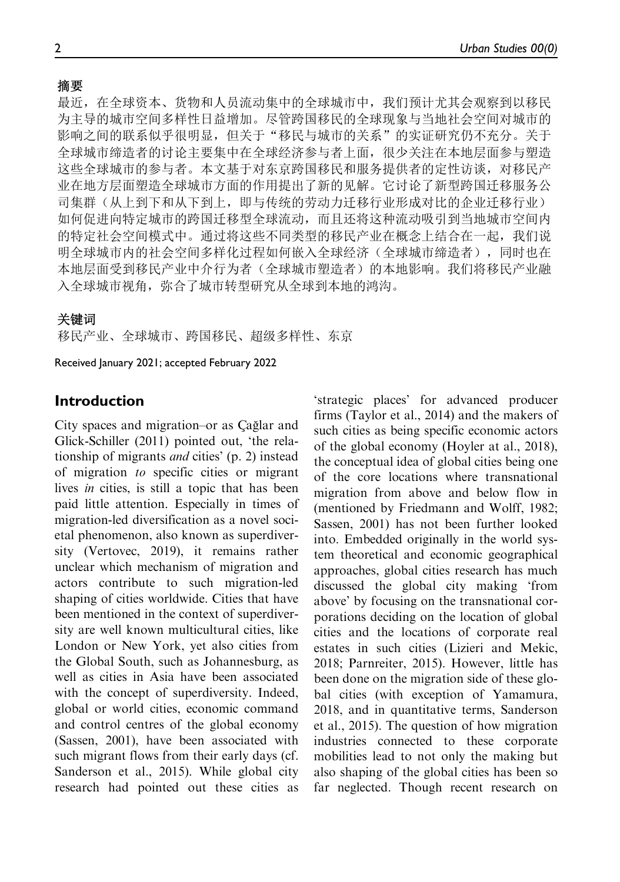### 摘要

最近, 在全球资本、货物和人员流动集中的全球城市中, 我们预计尤其会观察到以移民 为主导的城市空间多样性日益增加。尽管跨国移民的全球现象与当地社会空间对城市的 影响之间的联系似乎很明显,但关于"移民与城市的关系"的实证研究仍不充分。关于 全球城市缔造者的讨论主要集中在全球经济参与者上面,很少关注在本地层面参与塑造 这些全球城市的参与者。本文基于对东京跨国移民和服务提供者的定性访谈,对移民产 业在地方层面塑造全球城市方面的作用提出了新的见解。它讨论了新型跨国迁移服务公 司集群(从上到下和从下到上,即与传统的劳动力迁移行业形成对比的企业迁移行业) 如何促进向特定城市的跨国迁移型全球流动,而且还将这种流动吸引到当地城市空间内 的特定社会空间模式中。通过将这些不同类型的移民产业在概念上结合在一起,我们说 明全球城市内的社会空间多样化过程如何嵌入全球经济(全球城市缔造者),同时也在 本地层面受到移民产业中介行为者(全球城市塑造者)的本地影响。我们将移民产业融 入全球城市视角, 弥合了城市转型研究从全球到本地的鸿沟。

### 关键词

移民产业、全球城市、跨国移民、超级多样性、东京

Received January 2021; accepted February 2022

### Introduction

City spaces and migration–or as Cağlar and Glick-Schiller (2011) pointed out, 'the relationship of migrants and cities' (p. 2) instead of migration to specific cities or migrant lives in cities, is still a topic that has been paid little attention. Especially in times of migration-led diversification as a novel societal phenomenon, also known as superdiversity (Vertovec, 2019), it remains rather unclear which mechanism of migration and actors contribute to such migration-led shaping of cities worldwide. Cities that have been mentioned in the context of superdiversity are well known multicultural cities, like London or New York, yet also cities from the Global South, such as Johannesburg, as well as cities in Asia have been associated with the concept of superdiversity. Indeed, global or world cities, economic command and control centres of the global economy (Sassen, 2001), have been associated with such migrant flows from their early days (cf. Sanderson et al., 2015). While global city research had pointed out these cities as 'strategic places' for advanced producer firms (Taylor et al., 2014) and the makers of such cities as being specific economic actors of the global economy (Hoyler at al., 2018), the conceptual idea of global cities being one of the core locations where transnational migration from above and below flow in (mentioned by Friedmann and Wolff, 1982; Sassen, 2001) has not been further looked into. Embedded originally in the world system theoretical and economic geographical approaches, global cities research has much discussed the global city making 'from above' by focusing on the transnational corporations deciding on the location of global cities and the locations of corporate real estates in such cities (Lizieri and Mekic, 2018; Parnreiter, 2015). However, little has been done on the migration side of these global cities (with exception of Yamamura, 2018, and in quantitative terms, Sanderson et al., 2015). The question of how migration industries connected to these corporate mobilities lead to not only the making but also shaping of the global cities has been so far neglected. Though recent research on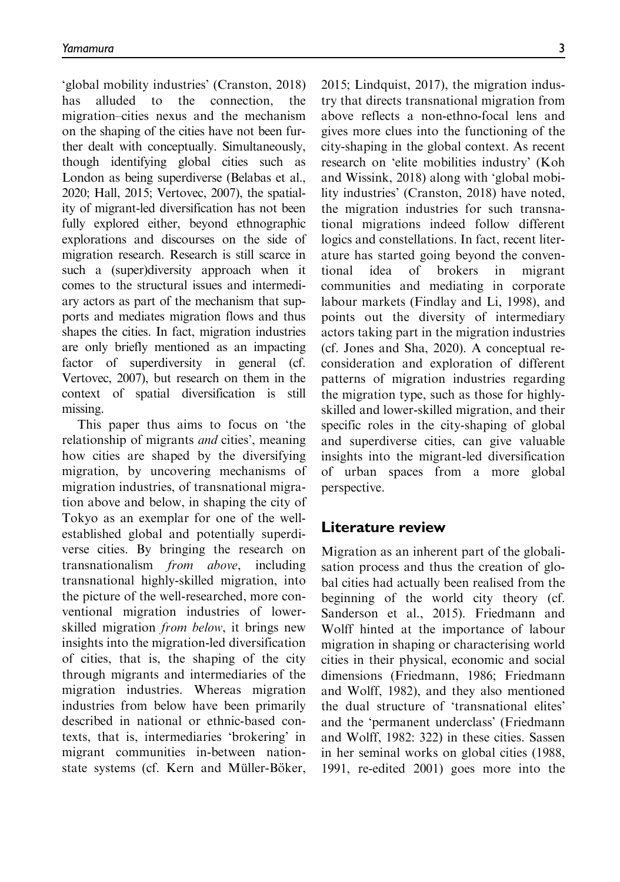'global mobility industries' (Cranston, 2018) has alluded to the connection, the migration–cities nexus and the mechanism on the shaping of the cities have not been further dealt with conceptually. Simultaneously, though identifying global cities such as London as being superdiverse (Belabas et al., 2020; Hall, 2015; Vertovec, 2007), the spatiality of migrant-led diversification has not been fully explored either, beyond ethnographic explorations and discourses on the side of migration research. Research is still scarce in such a (super)diversity approach when it comes to the structural issues and intermediary actors as part of the mechanism that supports and mediates migration flows and thus shapes the cities. In fact, migration industries are only briefly mentioned as an impacting factor of superdiversity in general (cf. Vertovec, 2007), but research on them in the context of spatial diversification is still missing.

This paper thus aims to focus on 'the relationship of migrants and cities', meaning how cities are shaped by the diversifying migration, by uncovering mechanisms of migration industries, of transnational migration above and below, in shaping the city of Tokyo as an exemplar for one of the wellestablished global and potentially superdiverse cities. By bringing the research on transnationalism from above, including transnational highly-skilled migration, into the picture of the well-researched, more conventional migration industries of lowerskilled migration *from below*, it brings new insights into the migration-led diversification of cities, that is, the shaping of the city through migrants and intermediaries of the migration industries. Whereas migration industries from below have been primarily described in national or ethnic-based contexts, that is, intermediaries 'brokering' in migrant communities in-between nationstate systems (cf. Kern and Müller-Böker,

2015; Lindquist, 2017), the migration industry that directs transnational migration from above reflects a non-ethno-focal lens and gives more clues into the functioning of the city-shaping in the global context. As recent research on 'elite mobilities industry' (Koh and Wissink, 2018) along with 'global mobility industries' (Cranston, 2018) have noted, the migration industries for such transnational migrations indeed follow different logics and constellations. In fact, recent literature has started going beyond the conventional idea of brokers in migrant communities and mediating in corporate labour markets (Findlay and Li, 1998), and points out the diversity of intermediary actors taking part in the migration industries (cf. Jones and Sha, 2020). A conceptual reconsideration and exploration of different patterns of migration industries regarding the migration type, such as those for highlyskilled and lower-skilled migration, and their specific roles in the city-shaping of global and superdiverse cities, can give valuable insights into the migrant-led diversification of urban spaces from a more global perspective.

#### Literature review

Migration as an inherent part of the globalisation process and thus the creation of global cities had actually been realised from the beginning of the world city theory (cf. Sanderson et al., 2015). Friedmann and Wolff hinted at the importance of labour migration in shaping or characterising world cities in their physical, economic and social dimensions (Friedmann, 1986; Friedmann and Wolff, 1982), and they also mentioned the dual structure of 'transnational elites' and the 'permanent underclass' (Friedmann and Wolff, 1982: 322) in these cities. Sassen in her seminal works on global cities (1988, 1991, re-edited 2001) goes more into the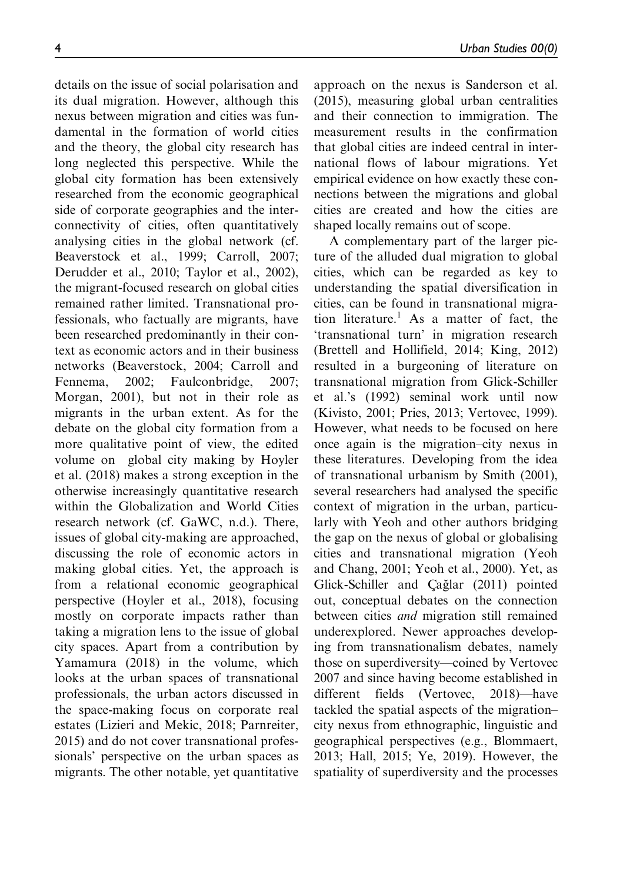details on the issue of social polarisation and its dual migration. However, although this nexus between migration and cities was fundamental in the formation of world cities and the theory, the global city research has long neglected this perspective. While the global city formation has been extensively researched from the economic geographical side of corporate geographies and the interconnectivity of cities, often quantitatively analysing cities in the global network (cf. Beaverstock et al., 1999; Carroll, 2007; Derudder et al., 2010; Taylor et al., 2002), the migrant-focused research on global cities remained rather limited. Transnational professionals, who factually are migrants, have been researched predominantly in their context as economic actors and in their business networks (Beaverstock, 2004; Carroll and Fennema, 2002; Faulconbridge, 2007; Morgan, 2001), but not in their role as migrants in the urban extent. As for the debate on the global city formation from a more qualitative point of view, the edited volume on global city making by Hoyler et al. (2018) makes a strong exception in the otherwise increasingly quantitative research within the Globalization and World Cities research network (cf. GaWC, n.d.). There, issues of global city-making are approached, discussing the role of economic actors in making global cities. Yet, the approach is from a relational economic geographical perspective (Hoyler et al., 2018), focusing mostly on corporate impacts rather than taking a migration lens to the issue of global city spaces. Apart from a contribution by Yamamura (2018) in the volume, which looks at the urban spaces of transnational professionals, the urban actors discussed in the space-making focus on corporate real estates (Lizieri and Mekic, 2018; Parnreiter, 2015) and do not cover transnational professionals' perspective on the urban spaces as migrants. The other notable, yet quantitative approach on the nexus is Sanderson et al. (2015), measuring global urban centralities and their connection to immigration. The measurement results in the confirmation that global cities are indeed central in international flows of labour migrations. Yet empirical evidence on how exactly these connections between the migrations and global cities are created and how the cities are shaped locally remains out of scope.

A complementary part of the larger picture of the alluded dual migration to global cities, which can be regarded as key to understanding the spatial diversification in cities, can be found in transnational migration literature.<sup>1</sup> As a matter of fact, the 'transnational turn' in migration research (Brettell and Hollifield, 2014; King, 2012) resulted in a burgeoning of literature on transnational migration from Glick-Schiller et al.'s (1992) seminal work until now (Kivisto, 2001; Pries, 2013; Vertovec, 1999). However, what needs to be focused on here once again is the migration–city nexus in these literatures. Developing from the idea of transnational urbanism by Smith (2001), several researchers had analysed the specific context of migration in the urban, particularly with Yeoh and other authors bridging the gap on the nexus of global or globalising cities and transnational migration (Yeoh and Chang, 2001; Yeoh et al., 2000). Yet, as Glick-Schiller and Çağlar (2011) pointed out, conceptual debates on the connection between cities and migration still remained underexplored. Newer approaches developing from transnationalism debates, namely those on superdiversity—coined by Vertovec 2007 and since having become established in different fields (Vertovec, 2018)—have tackled the spatial aspects of the migration– city nexus from ethnographic, linguistic and geographical perspectives (e.g., Blommaert, 2013; Hall, 2015; Ye, 2019). However, the spatiality of superdiversity and the processes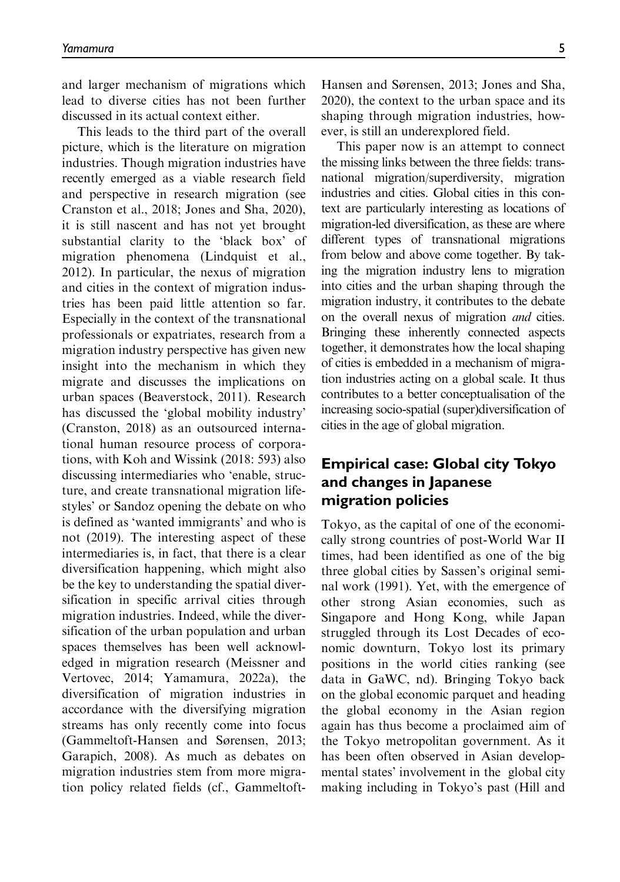and larger mechanism of migrations which lead to diverse cities has not been further discussed in its actual context either.

This leads to the third part of the overall picture, which is the literature on migration industries. Though migration industries have recently emerged as a viable research field and perspective in research migration (see Cranston et al., 2018; Jones and Sha, 2020), it is still nascent and has not yet brought substantial clarity to the 'black box' of migration phenomena (Lindquist et al., 2012). In particular, the nexus of migration and cities in the context of migration industries has been paid little attention so far. Especially in the context of the transnational professionals or expatriates, research from a migration industry perspective has given new insight into the mechanism in which they migrate and discusses the implications on urban spaces (Beaverstock, 2011). Research has discussed the 'global mobility industry' (Cranston, 2018) as an outsourced international human resource process of corporations, with Koh and Wissink (2018: 593) also discussing intermediaries who 'enable, structure, and create transnational migration lifestyles' or Sandoz opening the debate on who is defined as 'wanted immigrants' and who is not (2019). The interesting aspect of these intermediaries is, in fact, that there is a clear diversification happening, which might also be the key to understanding the spatial diversification in specific arrival cities through migration industries. Indeed, while the diversification of the urban population and urban spaces themselves has been well acknowledged in migration research (Meissner and Vertovec, 2014; Yamamura, 2022a), the diversification of migration industries in accordance with the diversifying migration streams has only recently come into focus (Gammeltoft-Hansen and Sørensen, 2013; Garapich, 2008). As much as debates on migration industries stem from more migration policy related fields (cf., GammeltoftHansen and Sørensen, 2013; Jones and Sha, 2020), the context to the urban space and its shaping through migration industries, however, is still an underexplored field.

This paper now is an attempt to connect the missing links between the three fields: transnational migration/superdiversity, migration industries and cities. Global cities in this context are particularly interesting as locations of migration-led diversification, as these are where different types of transnational migrations from below and above come together. By taking the migration industry lens to migration into cities and the urban shaping through the migration industry, it contributes to the debate on the overall nexus of migration and cities. Bringing these inherently connected aspects together, it demonstrates how the local shaping of cities is embedded in a mechanism of migration industries acting on a global scale. It thus contributes to a better conceptualisation of the increasing socio-spatial (super)diversification of cities in the age of global migration.

## Empirical case: Global city Tokyo and changes in Japanese migration policies

Tokyo, as the capital of one of the economically strong countries of post-World War II times, had been identified as one of the big three global cities by Sassen's original seminal work (1991). Yet, with the emergence of other strong Asian economies, such as Singapore and Hong Kong, while Japan struggled through its Lost Decades of economic downturn, Tokyo lost its primary positions in the world cities ranking (see data in GaWC, nd). Bringing Tokyo back on the global economic parquet and heading the global economy in the Asian region again has thus become a proclaimed aim of the Tokyo metropolitan government. As it has been often observed in Asian developmental states' involvement in the global city making including in Tokyo's past (Hill and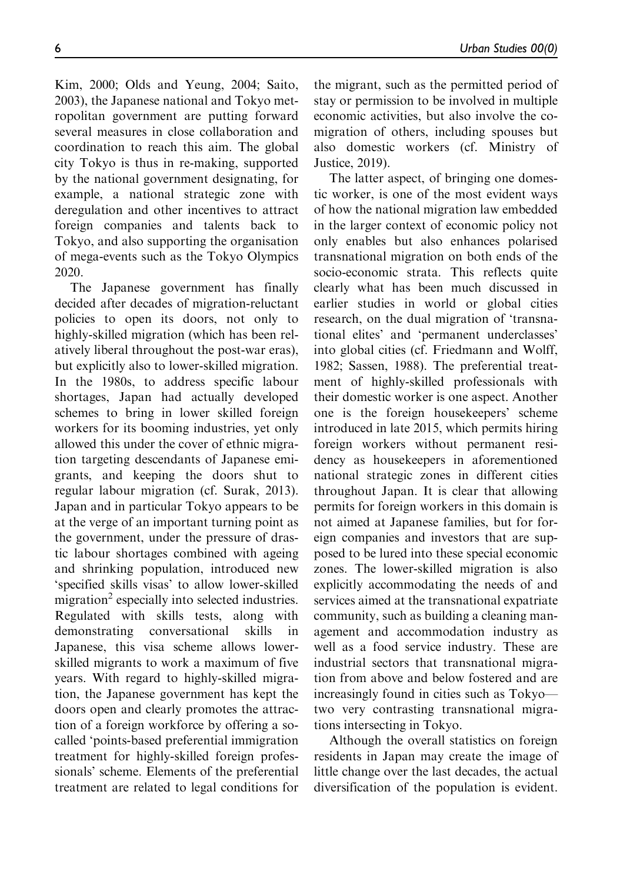Kim, 2000; Olds and Yeung, 2004; Saito, 2003), the Japanese national and Tokyo metropolitan government are putting forward several measures in close collaboration and coordination to reach this aim. The global city Tokyo is thus in re-making, supported by the national government designating, for example, a national strategic zone with deregulation and other incentives to attract foreign companies and talents back to Tokyo, and also supporting the organisation of mega-events such as the Tokyo Olympics 2020.

The Japanese government has finally decided after decades of migration-reluctant policies to open its doors, not only to highly-skilled migration (which has been relatively liberal throughout the post-war eras), but explicitly also to lower-skilled migration. In the 1980s, to address specific labour shortages, Japan had actually developed schemes to bring in lower skilled foreign workers for its booming industries, yet only allowed this under the cover of ethnic migration targeting descendants of Japanese emigrants, and keeping the doors shut to regular labour migration (cf. Surak, 2013). Japan and in particular Tokyo appears to be at the verge of an important turning point as the government, under the pressure of drastic labour shortages combined with ageing and shrinking population, introduced new 'specified skills visas' to allow lower-skilled migration<sup>2</sup> especially into selected industries. Regulated with skills tests, along with demonstrating conversational skills in Japanese, this visa scheme allows lowerskilled migrants to work a maximum of five years. With regard to highly-skilled migration, the Japanese government has kept the doors open and clearly promotes the attraction of a foreign workforce by offering a socalled 'points-based preferential immigration treatment for highly-skilled foreign professionals' scheme. Elements of the preferential treatment are related to legal conditions for the migrant, such as the permitted period of stay or permission to be involved in multiple economic activities, but also involve the comigration of others, including spouses but also domestic workers (cf. Ministry of Justice, 2019).

The latter aspect, of bringing one domestic worker, is one of the most evident ways of how the national migration law embedded in the larger context of economic policy not only enables but also enhances polarised transnational migration on both ends of the socio-economic strata. This reflects quite clearly what has been much discussed in earlier studies in world or global cities research, on the dual migration of 'transnational elites' and 'permanent underclasses' into global cities (cf. Friedmann and Wolff, 1982; Sassen, 1988). The preferential treatment of highly-skilled professionals with their domestic worker is one aspect. Another one is the foreign housekeepers' scheme introduced in late 2015, which permits hiring foreign workers without permanent residency as housekeepers in aforementioned national strategic zones in different cities throughout Japan. It is clear that allowing permits for foreign workers in this domain is not aimed at Japanese families, but for foreign companies and investors that are supposed to be lured into these special economic zones. The lower-skilled migration is also explicitly accommodating the needs of and services aimed at the transnational expatriate community, such as building a cleaning management and accommodation industry as well as a food service industry. These are industrial sectors that transnational migration from above and below fostered and are increasingly found in cities such as Tokyo two very contrasting transnational migrations intersecting in Tokyo.

Although the overall statistics on foreign residents in Japan may create the image of little change over the last decades, the actual diversification of the population is evident.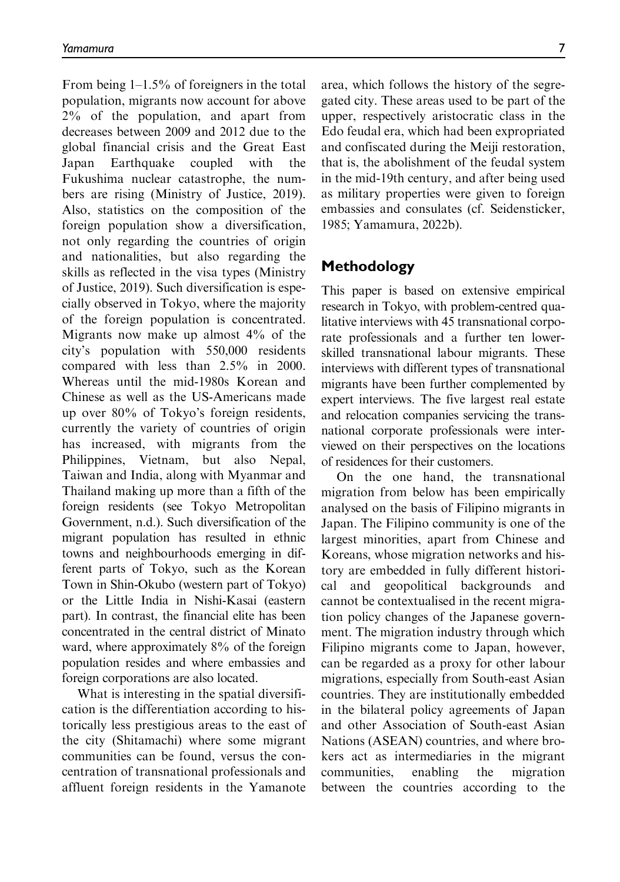From being 1–1.5% of foreigners in the total population, migrants now account for above 2% of the population, and apart from decreases between 2009 and 2012 due to the global financial crisis and the Great East Japan Earthquake coupled with the Fukushima nuclear catastrophe, the numbers are rising (Ministry of Justice, 2019). Also, statistics on the composition of the foreign population show a diversification, not only regarding the countries of origin and nationalities, but also regarding the skills as reflected in the visa types (Ministry of Justice, 2019). Such diversification is especially observed in Tokyo, where the majority of the foreign population is concentrated. Migrants now make up almost 4% of the city's population with 550,000 residents compared with less than 2.5% in 2000. Whereas until the mid-1980s Korean and Chinese as well as the US-Americans made up over 80% of Tokyo's foreign residents, currently the variety of countries of origin has increased, with migrants from the Philippines, Vietnam, but also Nepal, Taiwan and India, along with Myanmar and Thailand making up more than a fifth of the foreign residents (see Tokyo Metropolitan Government, n.d.). Such diversification of the migrant population has resulted in ethnic towns and neighbourhoods emerging in different parts of Tokyo, such as the Korean Town in Shin-Okubo (western part of Tokyo) or the Little India in Nishi-Kasai (eastern part). In contrast, the financial elite has been concentrated in the central district of Minato ward, where approximately 8% of the foreign population resides and where embassies and foreign corporations are also located.

What is interesting in the spatial diversification is the differentiation according to historically less prestigious areas to the east of the city (Shitamachi) where some migrant communities can be found, versus the concentration of transnational professionals and affluent foreign residents in the Yamanote

area, which follows the history of the segregated city. These areas used to be part of the upper, respectively aristocratic class in the Edo feudal era, which had been expropriated and confiscated during the Meiji restoration, that is, the abolishment of the feudal system in the mid-19th century, and after being used as military properties were given to foreign embassies and consulates (cf. Seidensticker, 1985; Yamamura, 2022b).

### Methodology

This paper is based on extensive empirical research in Tokyo, with problem-centred qualitative interviews with 45 transnational corporate professionals and a further ten lowerskilled transnational labour migrants. These interviews with different types of transnational migrants have been further complemented by expert interviews. The five largest real estate and relocation companies servicing the transnational corporate professionals were interviewed on their perspectives on the locations of residences for their customers.

On the one hand, the transnational migration from below has been empirically analysed on the basis of Filipino migrants in Japan. The Filipino community is one of the largest minorities, apart from Chinese and Koreans, whose migration networks and history are embedded in fully different historical and geopolitical backgrounds and cannot be contextualised in the recent migration policy changes of the Japanese government. The migration industry through which Filipino migrants come to Japan, however, can be regarded as a proxy for other labour migrations, especially from South-east Asian countries. They are institutionally embedded in the bilateral policy agreements of Japan and other Association of South-east Asian Nations (ASEAN) countries, and where brokers act as intermediaries in the migrant communities, enabling the migration between the countries according to the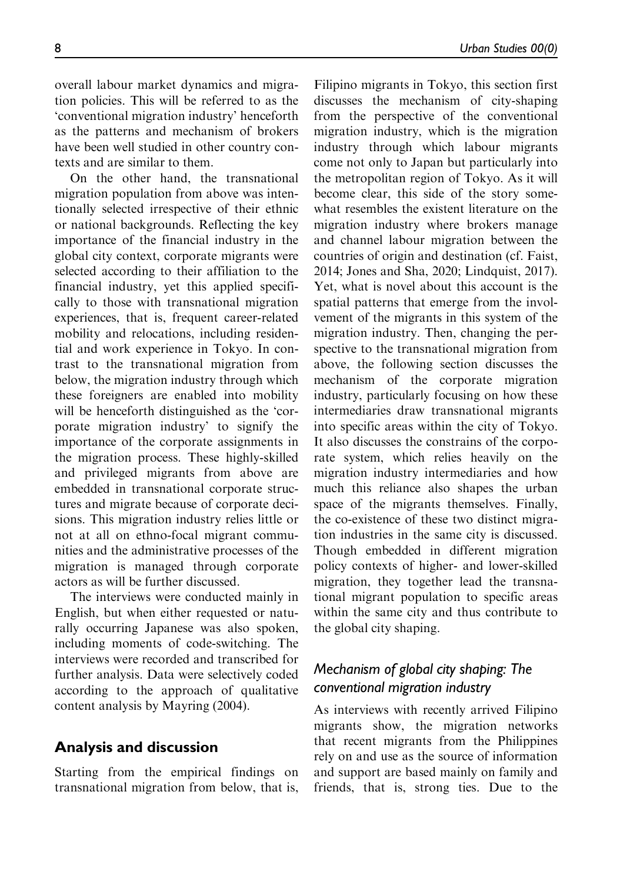overall labour market dynamics and migration policies. This will be referred to as the 'conventional migration industry' henceforth as the patterns and mechanism of brokers have been well studied in other country contexts and are similar to them.

On the other hand, the transnational migration population from above was intentionally selected irrespective of their ethnic or national backgrounds. Reflecting the key importance of the financial industry in the global city context, corporate migrants were selected according to their affiliation to the financial industry, yet this applied specifically to those with transnational migration experiences, that is, frequent career-related mobility and relocations, including residential and work experience in Tokyo. In contrast to the transnational migration from below, the migration industry through which these foreigners are enabled into mobility will be henceforth distinguished as the 'corporate migration industry' to signify the importance of the corporate assignments in the migration process. These highly-skilled and privileged migrants from above are embedded in transnational corporate structures and migrate because of corporate decisions. This migration industry relies little or not at all on ethno-focal migrant communities and the administrative processes of the migration is managed through corporate actors as will be further discussed.

The interviews were conducted mainly in English, but when either requested or naturally occurring Japanese was also spoken, including moments of code-switching. The interviews were recorded and transcribed for further analysis. Data were selectively coded according to the approach of qualitative content analysis by Mayring (2004).

#### Analysis and discussion

Starting from the empirical findings on transnational migration from below, that is,

Filipino migrants in Tokyo, this section first discusses the mechanism of city-shaping from the perspective of the conventional migration industry, which is the migration industry through which labour migrants come not only to Japan but particularly into the metropolitan region of Tokyo. As it will become clear, this side of the story somewhat resembles the existent literature on the migration industry where brokers manage and channel labour migration between the countries of origin and destination (cf. Faist, 2014; Jones and Sha, 2020; Lindquist, 2017). Yet, what is novel about this account is the spatial patterns that emerge from the involvement of the migrants in this system of the migration industry. Then, changing the perspective to the transnational migration from above, the following section discusses the mechanism of the corporate migration industry, particularly focusing on how these intermediaries draw transnational migrants into specific areas within the city of Tokyo. It also discusses the constrains of the corporate system, which relies heavily on the migration industry intermediaries and how much this reliance also shapes the urban space of the migrants themselves. Finally, the co-existence of these two distinct migration industries in the same city is discussed. Though embedded in different migration policy contexts of higher- and lower-skilled migration, they together lead the transnational migrant population to specific areas within the same city and thus contribute to the global city shaping.

## Mechanism of global city shaping: The conventional migration industry

As interviews with recently arrived Filipino migrants show, the migration networks that recent migrants from the Philippines rely on and use as the source of information and support are based mainly on family and friends, that is, strong ties. Due to the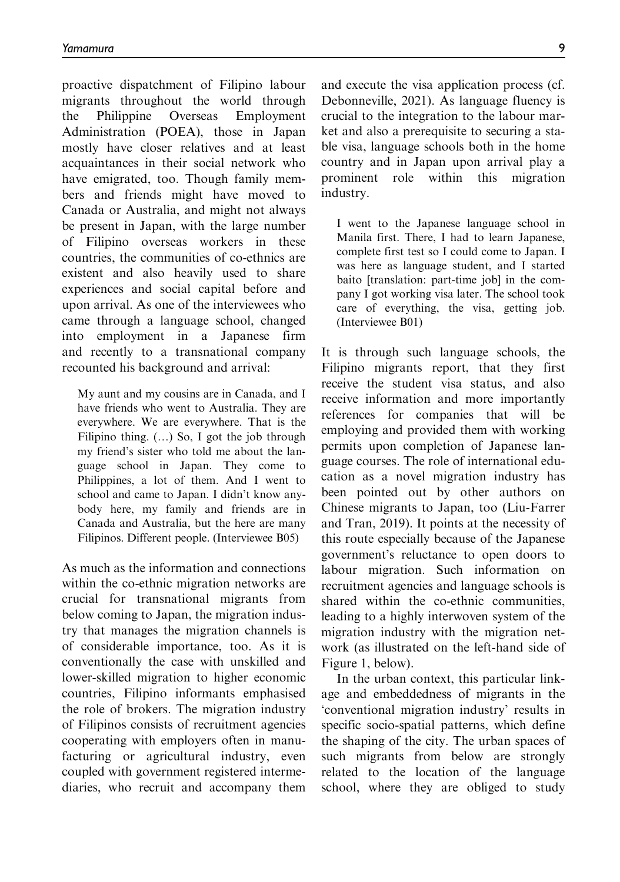proactive dispatchment of Filipino labour migrants throughout the world through the Philippine Overseas Employment Administration (POEA), those in Japan mostly have closer relatives and at least acquaintances in their social network who have emigrated, too. Though family members and friends might have moved to Canada or Australia, and might not always be present in Japan, with the large number of Filipino overseas workers in these countries, the communities of co-ethnics are existent and also heavily used to share experiences and social capital before and upon arrival. As one of the interviewees who came through a language school, changed into employment in a Japanese firm and recently to a transnational company recounted his background and arrival:

My aunt and my cousins are in Canada, and I have friends who went to Australia. They are everywhere. We are everywhere. That is the Filipino thing.  $(...)$  So, I got the job through my friend's sister who told me about the language school in Japan. They come to Philippines, a lot of them. And I went to school and came to Japan. I didn't know anybody here, my family and friends are in Canada and Australia, but the here are many Filipinos. Different people. (Interviewee B05)

As much as the information and connections within the co-ethnic migration networks are crucial for transnational migrants from below coming to Japan, the migration industry that manages the migration channels is of considerable importance, too. As it is conventionally the case with unskilled and lower-skilled migration to higher economic countries, Filipino informants emphasised the role of brokers. The migration industry of Filipinos consists of recruitment agencies cooperating with employers often in manufacturing or agricultural industry, even coupled with government registered intermediaries, who recruit and accompany them

and execute the visa application process (cf. Debonneville, 2021). As language fluency is crucial to the integration to the labour market and also a prerequisite to securing a stable visa, language schools both in the home country and in Japan upon arrival play a prominent role within this migration industry.

I went to the Japanese language school in Manila first. There, I had to learn Japanese, complete first test so I could come to Japan. I was here as language student, and I started baito [translation: part-time job] in the company I got working visa later. The school took care of everything, the visa, getting job. (Interviewee B01)

It is through such language schools, the Filipino migrants report, that they first receive the student visa status, and also receive information and more importantly references for companies that will be employing and provided them with working permits upon completion of Japanese language courses. The role of international education as a novel migration industry has been pointed out by other authors on Chinese migrants to Japan, too (Liu-Farrer and Tran, 2019). It points at the necessity of this route especially because of the Japanese government's reluctance to open doors to labour migration. Such information on recruitment agencies and language schools is shared within the co-ethnic communities, leading to a highly interwoven system of the migration industry with the migration network (as illustrated on the left-hand side of Figure 1, below).

In the urban context, this particular linkage and embeddedness of migrants in the 'conventional migration industry' results in specific socio-spatial patterns, which define the shaping of the city. The urban spaces of such migrants from below are strongly related to the location of the language school, where they are obliged to study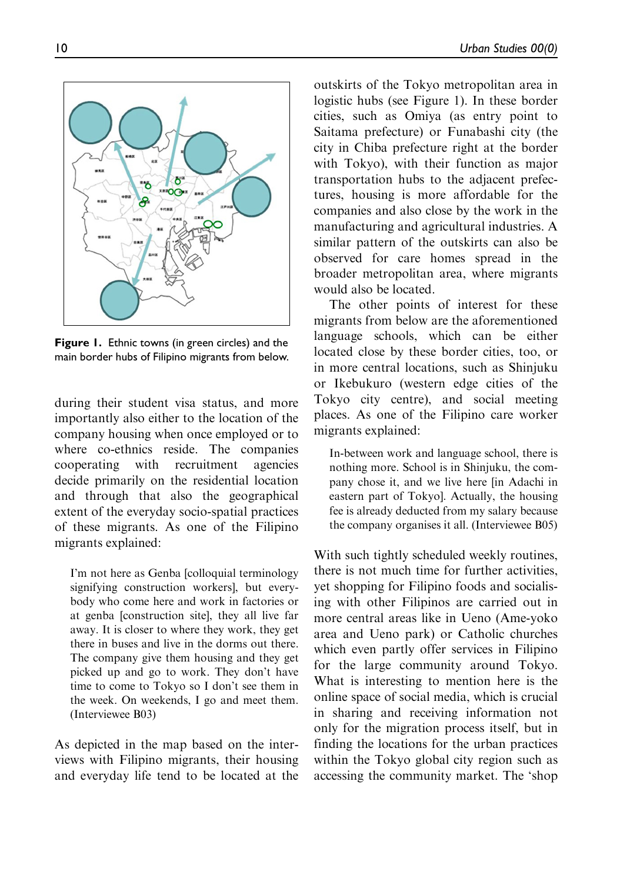

Figure 1. Ethnic towns (in green circles) and the main border hubs of Filipino migrants from below.

during their student visa status, and more importantly also either to the location of the company housing when once employed or to where co-ethnics reside. The companies cooperating with recruitment agencies decide primarily on the residential location and through that also the geographical extent of the everyday socio-spatial practices of these migrants. As one of the Filipino migrants explained:

I'm not here as Genba [colloquial terminology signifying construction workers], but everybody who come here and work in factories or at genba [construction site], they all live far away. It is closer to where they work, they get there in buses and live in the dorms out there. The company give them housing and they get picked up and go to work. They don't have time to come to Tokyo so I don't see them in the week. On weekends, I go and meet them. (Interviewee B03)

As depicted in the map based on the interviews with Filipino migrants, their housing and everyday life tend to be located at the

outskirts of the Tokyo metropolitan area in logistic hubs (see Figure 1). In these border cities, such as Omiya (as entry point to Saitama prefecture) or Funabashi city (the city in Chiba prefecture right at the border with Tokyo), with their function as major transportation hubs to the adjacent prefectures, housing is more affordable for the companies and also close by the work in the manufacturing and agricultural industries. A similar pattern of the outskirts can also be observed for care homes spread in the broader metropolitan area, where migrants would also be located.

The other points of interest for these migrants from below are the aforementioned language schools, which can be either located close by these border cities, too, or in more central locations, such as Shinjuku or Ikebukuro (western edge cities of the Tokyo city centre), and social meeting places. As one of the Filipino care worker migrants explained:

In-between work and language school, there is nothing more. School is in Shinjuku, the company chose it, and we live here [in Adachi in eastern part of Tokyo]. Actually, the housing fee is already deducted from my salary because the company organises it all. (Interviewee B05)

With such tightly scheduled weekly routines, there is not much time for further activities, yet shopping for Filipino foods and socialising with other Filipinos are carried out in more central areas like in Ueno (Ame-yoko area and Ueno park) or Catholic churches which even partly offer services in Filipino for the large community around Tokyo. What is interesting to mention here is the online space of social media, which is crucial in sharing and receiving information not only for the migration process itself, but in finding the locations for the urban practices within the Tokyo global city region such as accessing the community market. The 'shop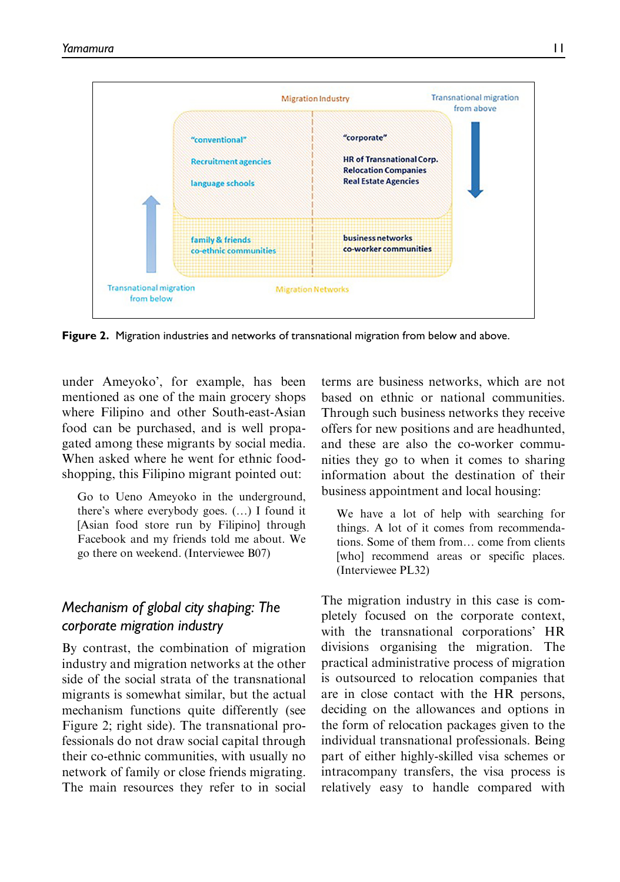

Figure 2. Migration industries and networks of transnational migration from below and above.

under Ameyoko', for example, has been mentioned as one of the main grocery shops where Filipino and other South-east-Asian food can be purchased, and is well propagated among these migrants by social media. When asked where he went for ethnic foodshopping, this Filipino migrant pointed out:

Go to Ueno Ameyoko in the underground, there's where everybody goes.  $(...)$  I found it [Asian food store run by Filipino] through Facebook and my friends told me about. We go there on weekend. (Interviewee B07)

## Mechanism of global city shaping: The corporate migration industry

By contrast, the combination of migration industry and migration networks at the other side of the social strata of the transnational migrants is somewhat similar, but the actual mechanism functions quite differently (see Figure 2; right side). The transnational professionals do not draw social capital through their co-ethnic communities, with usually no network of family or close friends migrating. The main resources they refer to in social

terms are business networks, which are not based on ethnic or national communities. Through such business networks they receive offers for new positions and are headhunted, and these are also the co-worker communities they go to when it comes to sharing information about the destination of their business appointment and local housing:

We have a lot of help with searching for things. A lot of it comes from recommendations. Some of them from. come from clients [who] recommend areas or specific places. (Interviewee PL32)

The migration industry in this case is completely focused on the corporate context, with the transnational corporations' HR divisions organising the migration. The practical administrative process of migration is outsourced to relocation companies that are in close contact with the HR persons, deciding on the allowances and options in the form of relocation packages given to the individual transnational professionals. Being part of either highly-skilled visa schemes or intracompany transfers, the visa process is relatively easy to handle compared with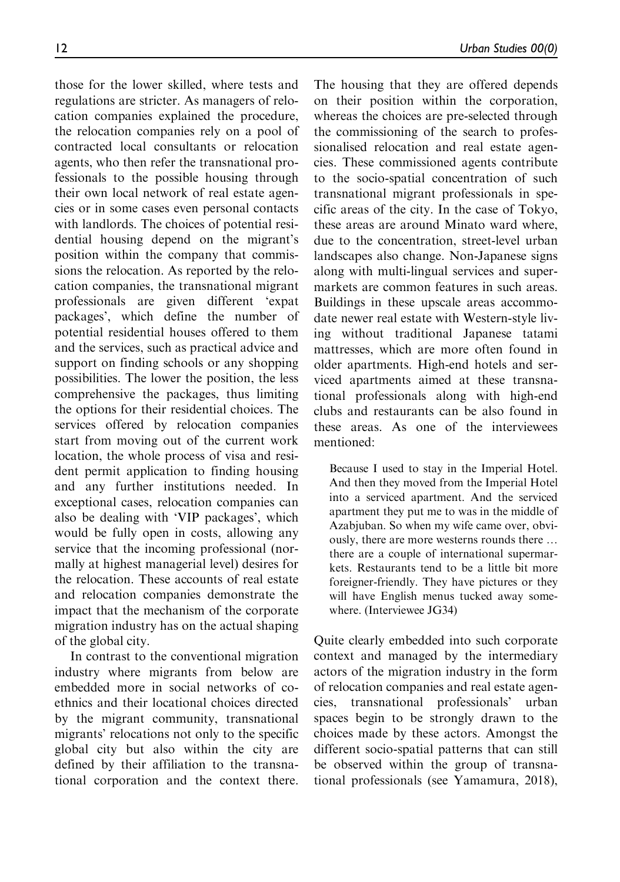those for the lower skilled, where tests and regulations are stricter. As managers of relocation companies explained the procedure, the relocation companies rely on a pool of contracted local consultants or relocation agents, who then refer the transnational professionals to the possible housing through their own local network of real estate agencies or in some cases even personal contacts with landlords. The choices of potential residential housing depend on the migrant's position within the company that commissions the relocation. As reported by the relocation companies, the transnational migrant professionals are given different 'expat packages', which define the number of potential residential houses offered to them and the services, such as practical advice and support on finding schools or any shopping possibilities. The lower the position, the less comprehensive the packages, thus limiting the options for their residential choices. The services offered by relocation companies start from moving out of the current work location, the whole process of visa and resident permit application to finding housing and any further institutions needed. In exceptional cases, relocation companies can also be dealing with 'VIP packages', which would be fully open in costs, allowing any service that the incoming professional (normally at highest managerial level) desires for the relocation. These accounts of real estate and relocation companies demonstrate the impact that the mechanism of the corporate migration industry has on the actual shaping of the global city.

In contrast to the conventional migration industry where migrants from below are embedded more in social networks of coethnics and their locational choices directed by the migrant community, transnational migrants' relocations not only to the specific global city but also within the city are defined by their affiliation to the transnational corporation and the context there.

The housing that they are offered depends on their position within the corporation, whereas the choices are pre-selected through the commissioning of the search to professionalised relocation and real estate agencies. These commissioned agents contribute to the socio-spatial concentration of such transnational migrant professionals in specific areas of the city. In the case of Tokyo, these areas are around Minato ward where, due to the concentration, street-level urban landscapes also change. Non-Japanese signs along with multi-lingual services and supermarkets are common features in such areas. Buildings in these upscale areas accommodate newer real estate with Western-style living without traditional Japanese tatami mattresses, which are more often found in older apartments. High-end hotels and serviced apartments aimed at these transnational professionals along with high-end clubs and restaurants can be also found in these areas. As one of the interviewees mentioned:

Because I used to stay in the Imperial Hotel. And then they moved from the Imperial Hotel into a serviced apartment. And the serviced apartment they put me to was in the middle of Azabjuban. So when my wife came over, obviously, there are more westerns rounds there ... there are a couple of international supermarkets. Restaurants tend to be a little bit more foreigner-friendly. They have pictures or they will have English menus tucked away somewhere. (Interviewee JG34)

Quite clearly embedded into such corporate context and managed by the intermediary actors of the migration industry in the form of relocation companies and real estate agencies, transnational professionals' urban spaces begin to be strongly drawn to the choices made by these actors. Amongst the different socio-spatial patterns that can still be observed within the group of transnational professionals (see Yamamura, 2018),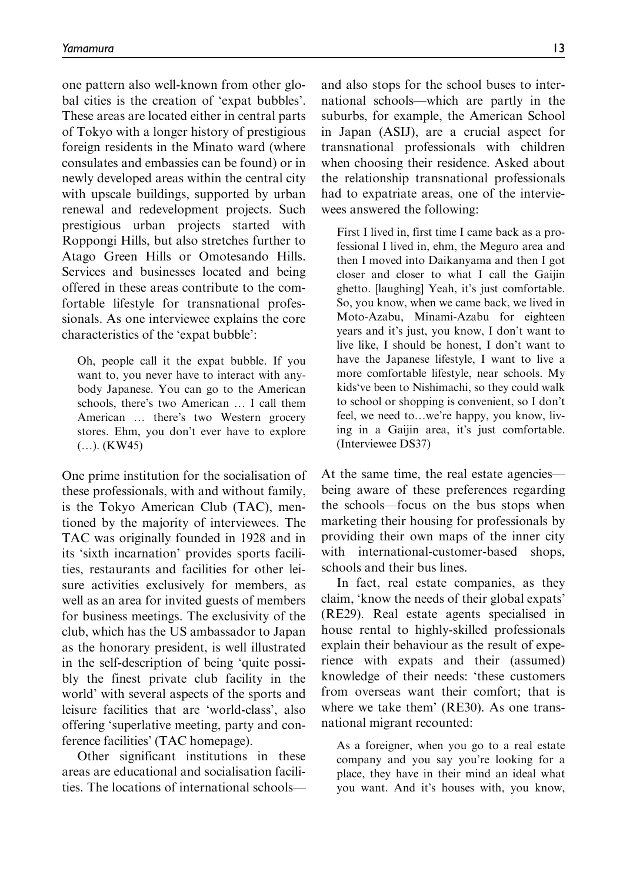one pattern also well-known from other global cities is the creation of 'expat bubbles'. These areas are located either in central parts of Tokyo with a longer history of prestigious foreign residents in the Minato ward (where consulates and embassies can be found) or in newly developed areas within the central city with upscale buildings, supported by urban renewal and redevelopment projects. Such prestigious urban projects started with Roppongi Hills, but also stretches further to Atago Green Hills or Omotesando Hills. Services and businesses located and being offered in these areas contribute to the comfortable lifestyle for transnational professionals. As one interviewee explains the core characteristics of the 'expat bubble':

Oh, people call it the expat bubble. If you want to, you never have to interact with anybody Japanese. You can go to the American schools, there's two American ... I call them American ... there's two Western grocery stores. Ehm, you don't ever have to explore  $(...)$ . (KW45)

One prime institution for the socialisation of these professionals, with and without family, is the Tokyo American Club (TAC), mentioned by the majority of interviewees. The TAC was originally founded in 1928 and in its 'sixth incarnation' provides sports facilities, restaurants and facilities for other leisure activities exclusively for members, as well as an area for invited guests of members for business meetings. The exclusivity of the club, which has the US ambassador to Japan as the honorary president, is well illustrated in the self-description of being 'quite possibly the finest private club facility in the world' with several aspects of the sports and leisure facilities that are 'world-class', also offering 'superlative meeting, party and conference facilities' (TAC homepage).

Other significant institutions in these areas are educational and socialisation facilities. The locations of international schoolsand also stops for the school buses to international schools—which are partly in the suburbs, for example, the American School in Japan (ASIJ), are a crucial aspect for transnational professionals with children when choosing their residence. Asked about the relationship transnational professionals had to expatriate areas, one of the interviewees answered the following:

First I lived in, first time I came back as a professional I lived in, ehm, the Meguro area and then I moved into Daikanyama and then I got closer and closer to what I call the Gaijin ghetto. [laughing] Yeah, it's just comfortable. So, you know, when we came back, we lived in Moto-Azabu, Minami-Azabu for eighteen years and it's just, you know, I don't want to live like, I should be honest, I don't want to have the Japanese lifestyle, I want to live a more comfortable lifestyle, near schools. My kids've been to Nishimachi, so they could walk to school or shopping is convenient, so I don't feel, we need to...we're happy, you know, living in a Gaijin area, it's just comfortable. (Interviewee DS37)

At the same time, the real estate agencies being aware of these preferences regarding the schools—focus on the bus stops when marketing their housing for professionals by providing their own maps of the inner city with international-customer-based shops, schools and their bus lines.

In fact, real estate companies, as they claim, 'know the needs of their global expats' (RE29). Real estate agents specialised in house rental to highly-skilled professionals explain their behaviour as the result of experience with expats and their (assumed) knowledge of their needs: 'these customers from overseas want their comfort; that is where we take them' (RE30). As one transnational migrant recounted:

As a foreigner, when you go to a real estate company and you say you're looking for a place, they have in their mind an ideal what you want. And it's houses with, you know,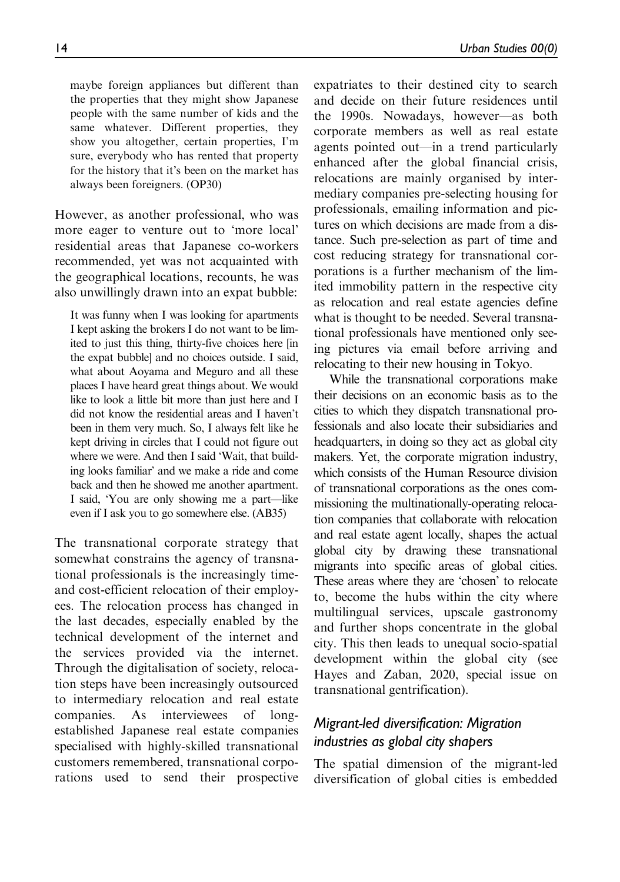maybe foreign appliances but different than the properties that they might show Japanese people with the same number of kids and the same whatever. Different properties, they show you altogether, certain properties, I'm sure, everybody who has rented that property for the history that it's been on the market has always been foreigners. (OP30)

However, as another professional, who was more eager to venture out to 'more local' residential areas that Japanese co-workers recommended, yet was not acquainted with the geographical locations, recounts, he was also unwillingly drawn into an expat bubble:

It was funny when I was looking for apartments I kept asking the brokers I do not want to be limited to just this thing, thirty-five choices here [in the expat bubble] and no choices outside. I said, what about Aoyama and Meguro and all these places I have heard great things about. We would like to look a little bit more than just here and I did not know the residential areas and I haven't been in them very much. So, I always felt like he kept driving in circles that I could not figure out where we were. And then I said 'Wait, that building looks familiar' and we make a ride and come back and then he showed me another apartment. I said, 'You are only showing me a part—like even if I ask you to go somewhere else. (AB35)

The transnational corporate strategy that somewhat constrains the agency of transnational professionals is the increasingly timeand cost-efficient relocation of their employees. The relocation process has changed in the last decades, especially enabled by the technical development of the internet and the services provided via the internet. Through the digitalisation of society, relocation steps have been increasingly outsourced to intermediary relocation and real estate companies. As interviewees of longestablished Japanese real estate companies specialised with highly-skilled transnational customers remembered, transnational corporations used to send their prospective

expatriates to their destined city to search and decide on their future residences until the 1990s. Nowadays, however—as both corporate members as well as real estate agents pointed out—in a trend particularly enhanced after the global financial crisis, relocations are mainly organised by intermediary companies pre-selecting housing for professionals, emailing information and pictures on which decisions are made from a distance. Such pre-selection as part of time and cost reducing strategy for transnational corporations is a further mechanism of the limited immobility pattern in the respective city as relocation and real estate agencies define what is thought to be needed. Several transnational professionals have mentioned only seeing pictures via email before arriving and relocating to their new housing in Tokyo.

While the transnational corporations make their decisions on an economic basis as to the cities to which they dispatch transnational professionals and also locate their subsidiaries and headquarters, in doing so they act as global city makers. Yet, the corporate migration industry, which consists of the Human Resource division of transnational corporations as the ones commissioning the multinationally-operating relocation companies that collaborate with relocation and real estate agent locally, shapes the actual global city by drawing these transnational migrants into specific areas of global cities. These areas where they are 'chosen' to relocate to, become the hubs within the city where multilingual services, upscale gastronomy and further shops concentrate in the global city. This then leads to unequal socio-spatial development within the global city (see Hayes and Zaban, 2020, special issue on transnational gentrification).

## Migrant-led diversification: Migration industries as global city shapers

The spatial dimension of the migrant-led diversification of global cities is embedded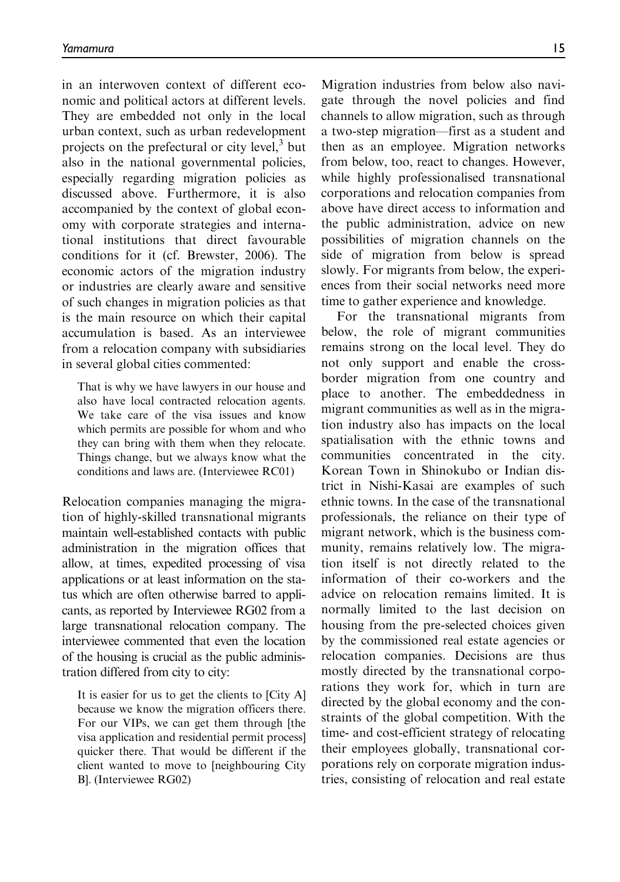in an interwoven context of different economic and political actors at different levels. They are embedded not only in the local urban context, such as urban redevelopment projects on the prefectural or city level, $3$  but also in the national governmental policies, especially regarding migration policies as discussed above. Furthermore, it is also accompanied by the context of global economy with corporate strategies and international institutions that direct favourable conditions for it (cf. Brewster, 2006). The economic actors of the migration industry or industries are clearly aware and sensitive of such changes in migration policies as that is the main resource on which their capital accumulation is based. As an interviewee from a relocation company with subsidiaries in several global cities commented:

That is why we have lawyers in our house and also have local contracted relocation agents. We take care of the visa issues and know which permits are possible for whom and who they can bring with them when they relocate. Things change, but we always know what the conditions and laws are. (Interviewee RC01)

Relocation companies managing the migration of highly-skilled transnational migrants maintain well-established contacts with public administration in the migration offices that allow, at times, expedited processing of visa applications or at least information on the status which are often otherwise barred to applicants, as reported by Interviewee RG02 from a large transnational relocation company. The interviewee commented that even the location of the housing is crucial as the public administration differed from city to city:

It is easier for us to get the clients to [City A] because we know the migration officers there. For our VIPs, we can get them through [the visa application and residential permit process] quicker there. That would be different if the client wanted to move to [neighbouring City B]. (Interviewee RG02)

Migration industries from below also navigate through the novel policies and find channels to allow migration, such as through a two-step migration—first as a student and then as an employee. Migration networks from below, too, react to changes. However, while highly professionalised transnational corporations and relocation companies from above have direct access to information and the public administration, advice on new possibilities of migration channels on the side of migration from below is spread slowly. For migrants from below, the experiences from their social networks need more time to gather experience and knowledge.

For the transnational migrants from below, the role of migrant communities remains strong on the local level. They do not only support and enable the crossborder migration from one country and place to another. The embeddedness in migrant communities as well as in the migration industry also has impacts on the local spatialisation with the ethnic towns and communities concentrated in the city. Korean Town in Shinokubo or Indian district in Nishi-Kasai are examples of such ethnic towns. In the case of the transnational professionals, the reliance on their type of migrant network, which is the business community, remains relatively low. The migration itself is not directly related to the information of their co-workers and the advice on relocation remains limited. It is normally limited to the last decision on housing from the pre-selected choices given by the commissioned real estate agencies or relocation companies. Decisions are thus mostly directed by the transnational corporations they work for, which in turn are directed by the global economy and the constraints of the global competition. With the time- and cost-efficient strategy of relocating their employees globally, transnational corporations rely on corporate migration industries, consisting of relocation and real estate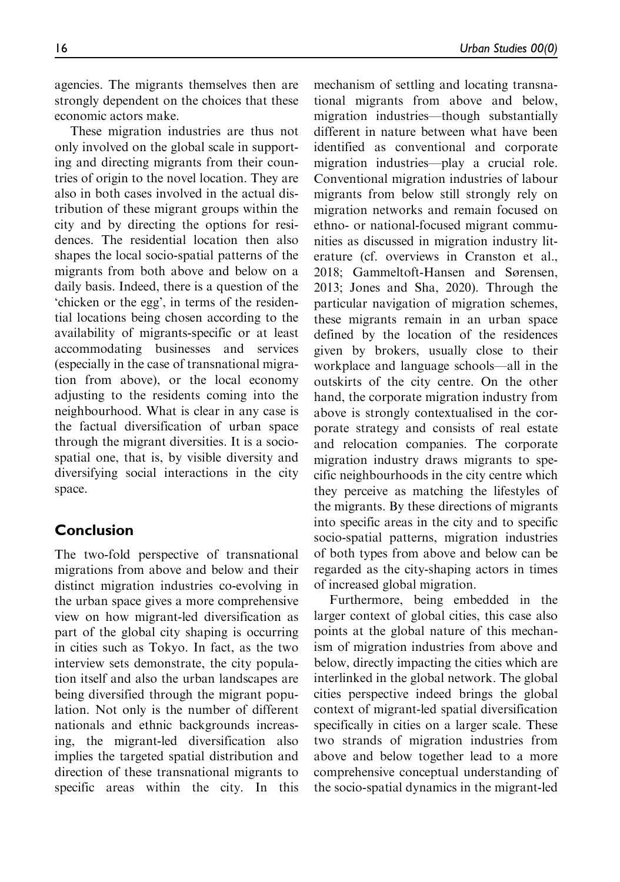agencies. The migrants themselves then are strongly dependent on the choices that these economic actors make.

These migration industries are thus not only involved on the global scale in supporting and directing migrants from their countries of origin to the novel location. They are also in both cases involved in the actual distribution of these migrant groups within the city and by directing the options for residences. The residential location then also shapes the local socio-spatial patterns of the migrants from both above and below on a daily basis. Indeed, there is a question of the 'chicken or the egg', in terms of the residential locations being chosen according to the availability of migrants-specific or at least accommodating businesses and services (especially in the case of transnational migration from above), or the local economy adjusting to the residents coming into the neighbourhood. What is clear in any case is the factual diversification of urban space through the migrant diversities. It is a sociospatial one, that is, by visible diversity and diversifying social interactions in the city space.

## Conclusion

The two-fold perspective of transnational migrations from above and below and their distinct migration industries co-evolving in the urban space gives a more comprehensive view on how migrant-led diversification as part of the global city shaping is occurring in cities such as Tokyo. In fact, as the two interview sets demonstrate, the city population itself and also the urban landscapes are being diversified through the migrant population. Not only is the number of different nationals and ethnic backgrounds increasing, the migrant-led diversification also implies the targeted spatial distribution and direction of these transnational migrants to specific areas within the city. In this mechanism of settling and locating transnational migrants from above and below, migration industries—though substantially different in nature between what have been identified as conventional and corporate migration industries—play a crucial role. Conventional migration industries of labour migrants from below still strongly rely on migration networks and remain focused on ethno- or national-focused migrant communities as discussed in migration industry literature (cf. overviews in Cranston et al., 2018; Gammeltoft-Hansen and Sørensen, 2013; Jones and Sha, 2020). Through the particular navigation of migration schemes, these migrants remain in an urban space defined by the location of the residences given by brokers, usually close to their workplace and language schools—all in the outskirts of the city centre. On the other hand, the corporate migration industry from above is strongly contextualised in the corporate strategy and consists of real estate and relocation companies. The corporate migration industry draws migrants to specific neighbourhoods in the city centre which they perceive as matching the lifestyles of the migrants. By these directions of migrants into specific areas in the city and to specific socio-spatial patterns, migration industries of both types from above and below can be regarded as the city-shaping actors in times of increased global migration.

Furthermore, being embedded in the larger context of global cities, this case also points at the global nature of this mechanism of migration industries from above and below, directly impacting the cities which are interlinked in the global network. The global cities perspective indeed brings the global context of migrant-led spatial diversification specifically in cities on a larger scale. These two strands of migration industries from above and below together lead to a more comprehensive conceptual understanding of the socio-spatial dynamics in the migrant-led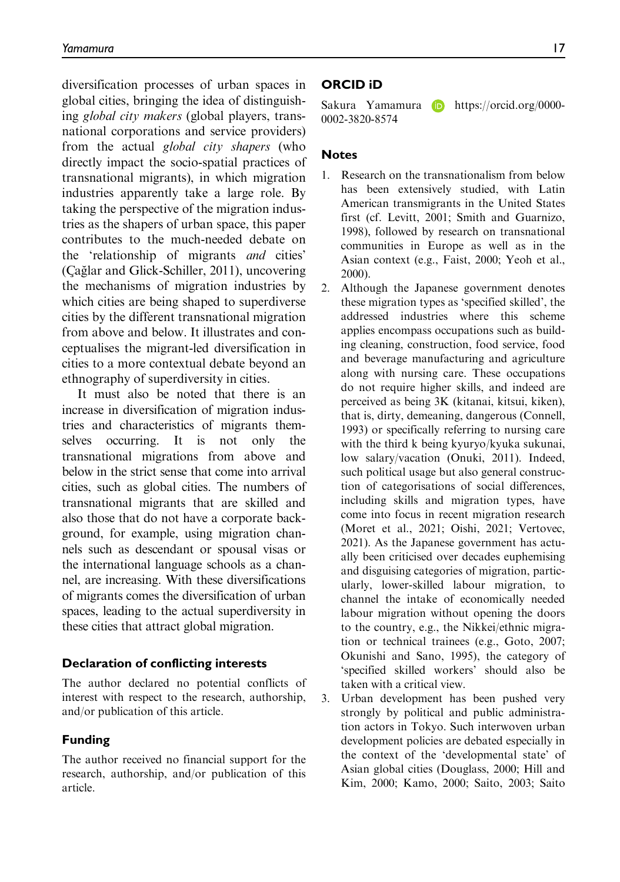diversification processes of urban spaces in global cities, bringing the idea of distinguishing global city makers (global players, transnational corporations and service providers) from the actual global city shapers (who directly impact the socio-spatial practices of transnational migrants), in which migration industries apparently take a large role. By taking the perspective of the migration industries as the shapers of urban space, this paper contributes to the much-needed debate on the 'relationship of migrants and cities' (Çağlar and Glick-Schiller, 2011), uncovering the mechanisms of migration industries by which cities are being shaped to superdiverse cities by the different transnational migration from above and below. It illustrates and conceptualises the migrant-led diversification in cities to a more contextual debate beyond an ethnography of superdiversity in cities.

It must also be noted that there is an increase in diversification of migration industries and characteristics of migrants themselves occurring. It is not only the transnational migrations from above and below in the strict sense that come into arrival cities, such as global cities. The numbers of transnational migrants that are skilled and also those that do not have a corporate background, for example, using migration channels such as descendant or spousal visas or the international language schools as a channel, are increasing. With these diversifications of migrants comes the diversification of urban spaces, leading to the actual superdiversity in these cities that attract global migration.

#### Declaration of conflicting interests

The author declared no potential conflicts of interest with respect to the research, authorship, and/or publication of this article.

## Funding

The author received no financial support for the research, authorship, and/or publication of this article.

## ORCID iD

Sakura Yamamura **b** [https://orcid.org/0000-](https://orcid.org/0000-0002-3820-8574) [0002-3820-8574](https://orcid.org/0000-0002-3820-8574)

## **Notes**

- 1. Research on the transnationalism from below has been extensively studied, with Latin American transmigrants in the United States first (cf. Levitt, 2001; Smith and Guarnizo, 1998), followed by research on transnational communities in Europe as well as in the Asian context (e.g., Faist, 2000; Yeoh et al., 2000).
- 2. Although the Japanese government denotes these migration types as 'specified skilled', the addressed industries where this scheme applies encompass occupations such as building cleaning, construction, food service, food and beverage manufacturing and agriculture along with nursing care. These occupations do not require higher skills, and indeed are perceived as being 3K (kitanai, kitsui, kiken), that is, dirty, demeaning, dangerous (Connell, 1993) or specifically referring to nursing care with the third k being kyuryo/kyuka sukunai, low salary/vacation (Onuki, 2011). Indeed, such political usage but also general construction of categorisations of social differences, including skills and migration types, have come into focus in recent migration research (Moret et al., 2021; Oishi, 2021; Vertovec, 2021). As the Japanese government has actually been criticised over decades euphemising and disguising categories of migration, particularly, lower-skilled labour migration, to channel the intake of economically needed labour migration without opening the doors to the country, e.g., the Nikkei/ethnic migration or technical trainees (e.g., Goto, 2007; Okunishi and Sano, 1995), the category of 'specified skilled workers' should also be taken with a critical view.
- 3. Urban development has been pushed very strongly by political and public administration actors in Tokyo. Such interwoven urban development policies are debated especially in the context of the 'developmental state' of Asian global cities (Douglass, 2000; Hill and Kim, 2000; Kamo, 2000; Saito, 2003; Saito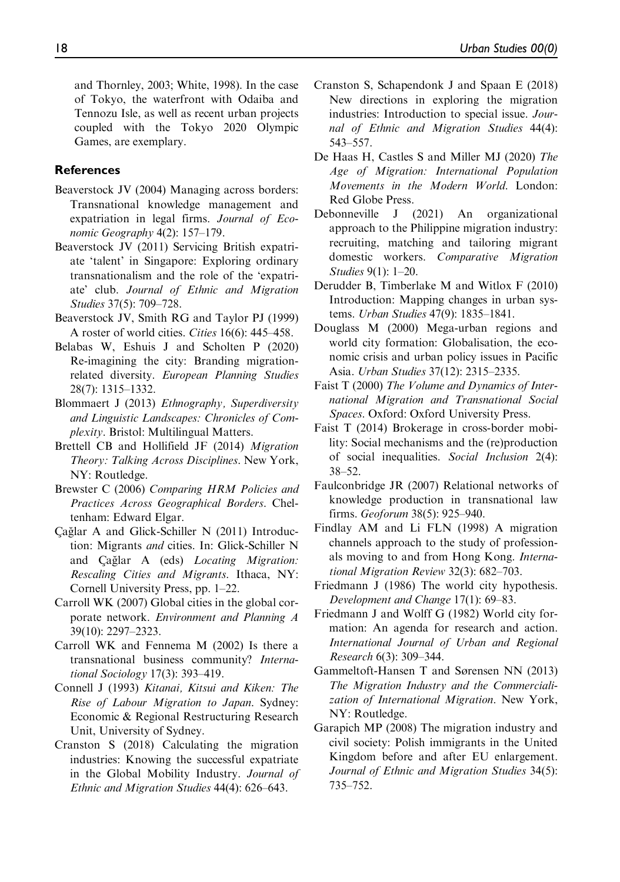and Thornley, 2003; White, 1998). In the case of Tokyo, the waterfront with Odaiba and Tennozu Isle, as well as recent urban projects coupled with the Tokyo 2020 Olympic Games, are exemplary.

#### References

- Beaverstock JV (2004) Managing across borders: Transnational knowledge management and expatriation in legal firms. Journal of Economic Geography 4(2): 157–179.
- Beaverstock JV (2011) Servicing British expatriate 'talent' in Singapore: Exploring ordinary transnationalism and the role of the 'expatriate' club. Journal of Ethnic and Migration Studies 37(5): 709–728.
- Beaverstock JV, Smith RG and Taylor PJ (1999) A roster of world cities. Cities 16(6): 445–458.
- Belabas W, Eshuis J and Scholten P (2020) Re-imagining the city: Branding migrationrelated diversity. European Planning Studies 28(7): 1315–1332.
- Blommaert J (2013) Ethnography, Superdiversity and Linguistic Landscapes: Chronicles of Complexity. Bristol: Multilingual Matters.
- Brettell CB and Hollifield JF (2014) Migration Theory: Talking Across Disciplines. New York, NY: Routledge.
- Brewster C (2006) Comparing HRM Policies and Practices Across Geographical Borders. Cheltenham: Edward Elgar.
- Cağlar A and Glick-Schiller N  $(2011)$  Introduction: Migrants and cities. In: Glick-Schiller N and Çağlar A (eds) Locating Migration: Rescaling Cities and Migrants. Ithaca, NY: Cornell University Press, pp. 1–22.
- Carroll WK (2007) Global cities in the global corporate network. Environment and Planning A 39(10): 2297–2323.
- Carroll WK and Fennema M (2002) Is there a transnational business community? International Sociology 17(3): 393–419.
- Connell J (1993) Kitanai, Kitsui and Kiken: The Rise of Labour Migration to Japan. Sydney: Economic & Regional Restructuring Research Unit, University of Sydney.
- Cranston S (2018) Calculating the migration industries: Knowing the successful expatriate in the Global Mobility Industry. Journal of Ethnic and Migration Studies 44(4): 626–643.
- Cranston S, Schapendonk J and Spaan E (2018) New directions in exploring the migration industries: Introduction to special issue. Journal of Ethnic and Migration Studies 44(4): 543–557.
- De Haas H, Castles S and Miller MJ (2020) The Age of Migration: International Population Movements in the Modern World. London: Red Globe Press.
- Debonneville J (2021) An organizational approach to the Philippine migration industry: recruiting, matching and tailoring migrant domestic workers. Comparative Migration Studies 9(1): 1–20.
- Derudder B, Timberlake M and Witlox F (2010) Introduction: Mapping changes in urban systems. Urban Studies 47(9): 1835–1841.
- Douglass M (2000) Mega-urban regions and world city formation: Globalisation, the economic crisis and urban policy issues in Pacific Asia. Urban Studies 37(12): 2315–2335.
- Faist T (2000) The Volume and Dynamics of International Migration and Transnational Social Spaces. Oxford: Oxford University Press.
- Faist T (2014) Brokerage in cross-border mobility: Social mechanisms and the (re)production of social inequalities. Social Inclusion 2(4): 38–52.
- Faulconbridge JR (2007) Relational networks of knowledge production in transnational law firms. Geoforum 38(5): 925–940.
- Findlay AM and Li FLN (1998) A migration channels approach to the study of professionals moving to and from Hong Kong. International Migration Review 32(3): 682–703.
- Friedmann J (1986) The world city hypothesis. Development and Change 17(1): 69–83.
- Friedmann J and Wolff G (1982) World city formation: An agenda for research and action. International Journal of Urban and Regional Research 6(3): 309–344.
- Gammeltoft-Hansen T and Sørensen NN (2013) The Migration Industry and the Commercialization of International Migration. New York, NY: Routledge.
- Garapich MP (2008) The migration industry and civil society: Polish immigrants in the United Kingdom before and after EU enlargement. Journal of Ethnic and Migration Studies 34(5): 735–752.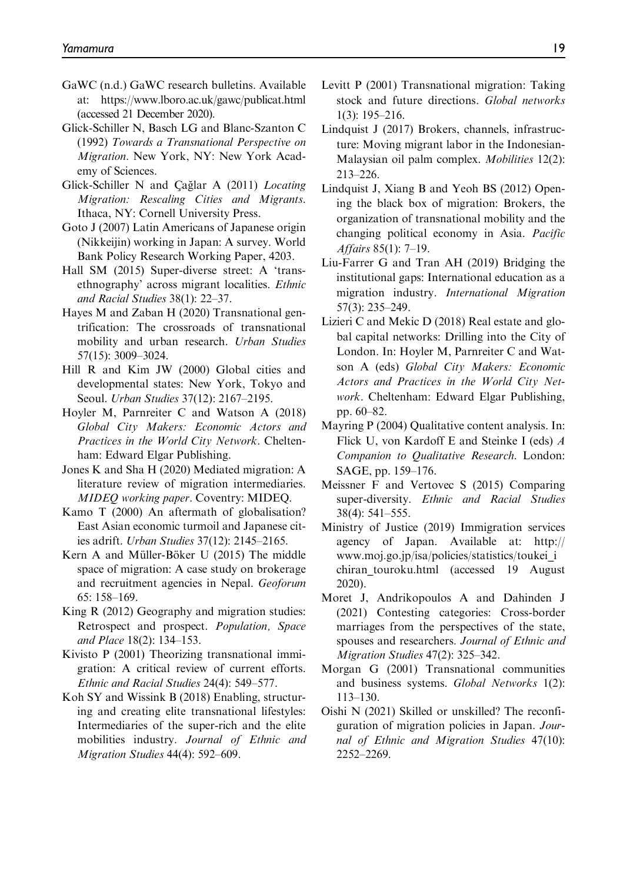- GaWC (n.d.) GaWC research bulletins. Available at:<https://www.lboro.ac.uk/gawc/publicat.html> (accessed 21 December 2020).
- Glick-Schiller N, Basch LG and Blanc-Szanton C (1992) Towards a Transnational Perspective on Migration. New York, NY: New York Academy of Sciences.
- Glick-Schiller N and Çağlar A (2011) Locating Migration: Rescaling Cities and Migrants. Ithaca, NY: Cornell University Press.
- Goto J (2007) Latin Americans of Japanese origin (Nikkeijin) working in Japan: A survey. World Bank Policy Research Working Paper, 4203.
- Hall SM (2015) Super-diverse street: A 'transethnography' across migrant localities. Ethnic and Racial Studies 38(1): 22–37.
- Hayes M and Zaban H (2020) Transnational gentrification: The crossroads of transnational mobility and urban research. Urban Studies 57(15): 3009–3024.
- Hill R and Kim JW (2000) Global cities and developmental states: New York, Tokyo and Seoul. Urban Studies 37(12): 2167–2195.
- Hoyler M, Parnreiter C and Watson A (2018) Global City Makers: Economic Actors and Practices in the World City Network. Cheltenham: Edward Elgar Publishing.
- Jones K and Sha H (2020) Mediated migration: A literature review of migration intermediaries. MIDEQ working paper. Coventry: MIDEQ.
- Kamo T (2000) An aftermath of globalisation? East Asian economic turmoil and Japanese cities adrift. Urban Studies 37(12): 2145–2165.
- Kern A and Müller-Böker U (2015) The middle space of migration: A case study on brokerage and recruitment agencies in Nepal. Geoforum 65: 158–169.
- King R (2012) Geography and migration studies: Retrospect and prospect. Population, Space and Place 18(2): 134–153.
- Kivisto P (2001) Theorizing transnational immigration: A critical review of current efforts. Ethnic and Racial Studies 24(4): 549–577.
- Koh SY and Wissink B (2018) Enabling, structuring and creating elite transnational lifestyles: Intermediaries of the super-rich and the elite mobilities industry. Journal of Ethnic and Migration Studies 44(4): 592–609.
- Levitt P (2001) Transnational migration: Taking stock and future directions. Global networks 1(3): 195–216.
- Lindquist J (2017) Brokers, channels, infrastructure: Moving migrant labor in the Indonesian-Malaysian oil palm complex. Mobilities 12(2): 213–226.
- Lindquist J, Xiang B and Yeoh BS (2012) Opening the black box of migration: Brokers, the organization of transnational mobility and the changing political economy in Asia. Pacific Affairs 85(1): 7–19.
- Liu-Farrer G and Tran AH (2019) Bridging the institutional gaps: International education as a migration industry. International Migration 57(3): 235–249.
- Lizieri C and Mekic D (2018) Real estate and global capital networks: Drilling into the City of London. In: Hoyler M, Parnreiter C and Watson A (eds) Global City Makers: Economic Actors and Practices in the World City Network. Cheltenham: Edward Elgar Publishing, pp. 60–82.
- Mayring P (2004) Qualitative content analysis. In: Flick U, von Kardoff E and Steinke I (eds) A Companion to Qualitative Research. London: SAGE, pp. 159–176.
- Meissner F and Vertovec S (2015) Comparing super-diversity. Ethnic and Racial Studies 38(4): 541–555.
- Ministry of Justice (2019) Immigration services agency of Japan. Available at: [http://](http://www.moj.go.jp/isa/policies/statistics/toukei_ichiran_touroku.html) [www.moj.go.jp/isa/policies/statistics/toukei\\_i](http://www.moj.go.jp/isa/policies/statistics/toukei_ichiran_touroku.html) [chiran\\_touroku.html](http://www.moj.go.jp/isa/policies/statistics/toukei_ichiran_touroku.html) (accessed 19 August 2020).
- Moret J, Andrikopoulos A and Dahinden J (2021) Contesting categories: Cross-border marriages from the perspectives of the state, spouses and researchers. Journal of Ethnic and Migration Studies 47(2): 325–342.
- Morgan G (2001) Transnational communities and business systems. Global Networks 1(2): 113–130.
- Oishi N (2021) Skilled or unskilled? The reconfiguration of migration policies in Japan. Journal of Ethnic and Migration Studies 47(10): 2252–2269.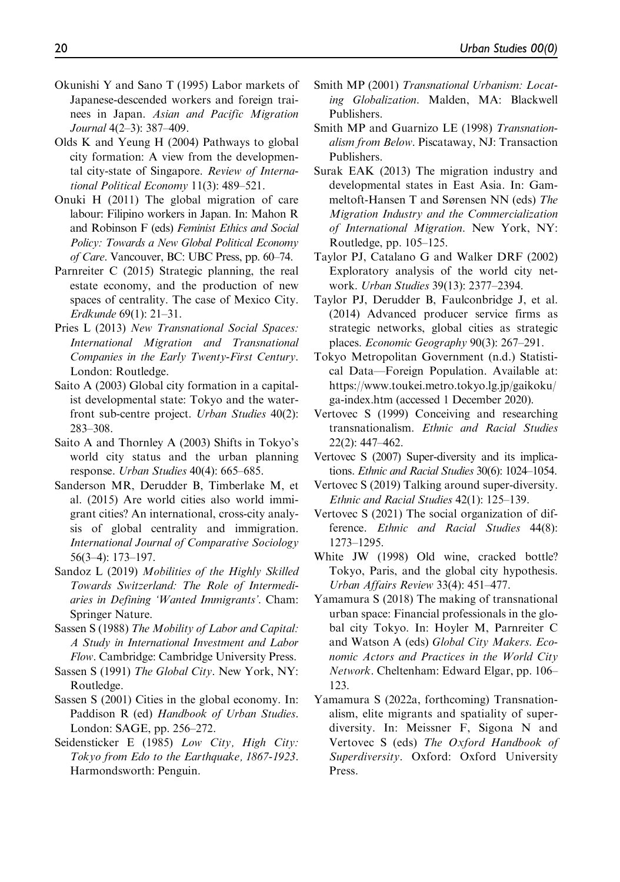- Okunishi Y and Sano T (1995) Labor markets of Japanese-descended workers and foreign trainees in Japan. Asian and Pacific Migration Journal 4(2–3): 387–409.
- Olds K and Yeung H (2004) Pathways to global city formation: A view from the developmental city-state of Singapore. Review of International Political Economy 11(3): 489–521.
- Onuki H (2011) The global migration of care labour: Filipino workers in Japan. In: Mahon R and Robinson F (eds) Feminist Ethics and Social Policy: Towards a New Global Political Economy of Care. Vancouver, BC: UBC Press, pp. 60–74.
- Parnreiter C (2015) Strategic planning, the real estate economy, and the production of new spaces of centrality. The case of Mexico City. Erdkunde 69(1): 21–31.
- Pries L (2013) New Transnational Social Spaces: International Migration and Transnational Companies in the Early Twenty-First Century. London: Routledge.
- Saito A (2003) Global city formation in a capitalist developmental state: Tokyo and the waterfront sub-centre project. Urban Studies 40(2): 283–308.
- Saito A and Thornley A (2003) Shifts in Tokyo's world city status and the urban planning response. Urban Studies 40(4): 665–685.
- Sanderson MR, Derudder B, Timberlake M, et al. (2015) Are world cities also world immigrant cities? An international, cross-city analysis of global centrality and immigration. International Journal of Comparative Sociology 56(3–4): 173–197.
- Sandoz L (2019) Mobilities of the Highly Skilled Towards Switzerland: The Role of Intermediaries in Defining 'Wanted Immigrants'. Cham: Springer Nature.
- Sassen S (1988) The Mobility of Labor and Capital: A Study in International Investment and Labor Flow. Cambridge: Cambridge University Press.
- Sassen S (1991) The Global City. New York, NY: Routledge.
- Sassen S (2001) Cities in the global economy. In: Paddison R (ed) Handbook of Urban Studies. London: SAGE, pp. 256–272.
- Seidensticker E (1985) Low City, High City: Tokyo from Edo to the Earthquake, 1867-1923. Harmondsworth: Penguin.
- Smith MP (2001) Transnational Urbanism: Locating Globalization. Malden, MA: Blackwell Publishers.
- Smith MP and Guarnizo LE (1998) Transnationalism from Below. Piscataway, NJ: Transaction Publishers.
- Surak EAK (2013) The migration industry and developmental states in East Asia. In: Gammeltoft-Hansen T and Sørensen NN (eds) The Migration Industry and the Commercialization of International Migration. New York, NY: Routledge, pp. 105–125.
- Taylor PJ, Catalano G and Walker DRF (2002) Exploratory analysis of the world city network. Urban Studies 39(13): 2377–2394.
- Taylor PJ, Derudder B, Faulconbridge J, et al. (2014) Advanced producer service firms as strategic networks, global cities as strategic places. Economic Geography 90(3): 267–291.
- Tokyo Metropolitan Government (n.d.) Statistical Data—Foreign Population. Available at: [https://www.toukei.metro.tokyo.lg.jp/gaikoku/](https://www.toukei.metro.tokyo.lg.jp/gaikoku/ga-index.htm) [ga-index.htm](https://www.toukei.metro.tokyo.lg.jp/gaikoku/ga-index.htm) (accessed 1 December 2020).
- Vertovec S (1999) Conceiving and researching transnationalism. Ethnic and Racial Studies 22(2): 447–462.
- Vertovec S (2007) Super-diversity and its implications. Ethnic and Racial Studies 30(6): 1024–1054.
- Vertovec S (2019) Talking around super-diversity. Ethnic and Racial Studies 42(1): 125–139.
- Vertovec S (2021) The social organization of difference. Ethnic and Racial Studies 44(8): 1273–1295.
- White JW (1998) Old wine, cracked bottle? Tokyo, Paris, and the global city hypothesis. Urban Affairs Review 33(4): 451–477.
- Yamamura S (2018) The making of transnational urban space: Financial professionals in the global city Tokyo. In: Hoyler M, Parnreiter C and Watson A (eds) Global City Makers. Economic Actors and Practices in the World City Network. Cheltenham: Edward Elgar, pp. 106– 123.
- Yamamura S (2022a, forthcoming) Transnationalism, elite migrants and spatiality of superdiversity. In: Meissner F, Sigona N and Vertovec S (eds) The Oxford Handbook of Superdiversity. Oxford: Oxford University Press.